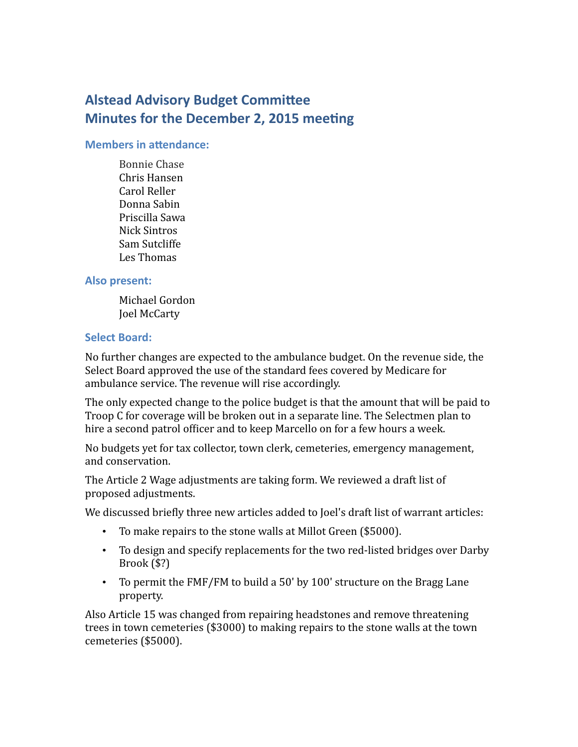# **Alstead Advisory Budget Committee Minutes for the December 2, 2015 meeting**

#### **Members in attendance:**

Bonnie Chase Chris Hansen Carol Reller Donna Sabin Priscilla Sawa Nick Sintros Sam Sutcliffe Les Thomas

## **Also present:**

Michael Gordon Joel McCarty

### **Select Board:**

No further changes are expected to the ambulance budget. On the revenue side, the Select Board approved the use of the standard fees covered by Medicare for ambulance service. The revenue will rise accordingly.

The only expected change to the police budget is that the amount that will be paid to Troop C for coverage will be broken out in a separate line. The Selectmen plan to hire a second patrol officer and to keep Marcello on for a few hours a week.

No budgets yet for tax collector, town clerk, cemeteries, emergency management, and conservation.

The Article 2 Wage adjustments are taking form. We reviewed a draft list of proposed adjustments.

We discussed briefly three new articles added to Joel's draft list of warrant articles:

- To make repairs to the stone walls at Millot Green (\$5000).
- To design and specify replacements for the two red-listed bridges over Darby Brook (\$?)
- To permit the FMF/FM to build a 50' by 100' structure on the Bragg Lane property.

Also Article 15 was changed from repairing headstones and remove threatening trees in town cemeteries (\$3000) to making repairs to the stone walls at the town cemeteries (\$5000).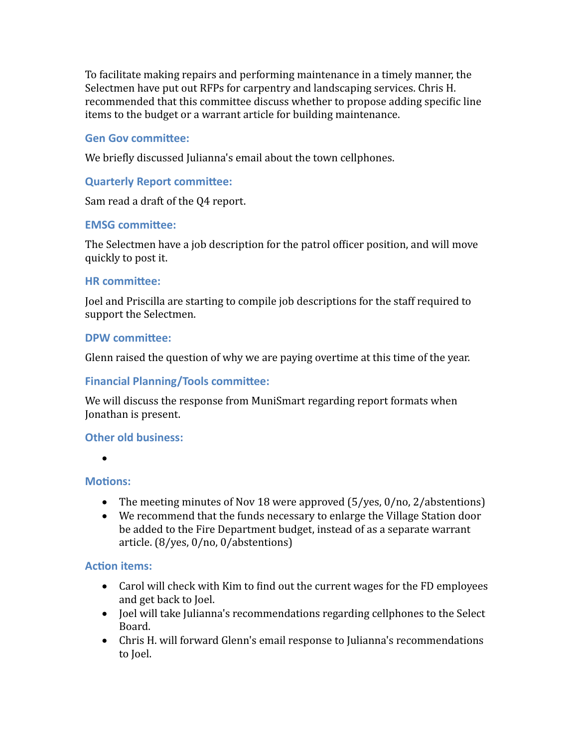To facilitate making repairs and performing maintenance in a timely manner, the Selectmen have put out RFPs for carpentry and landscaping services. Chris H. recommended that this committee discuss whether to propose adding specific line items to the budget or a warrant article for building maintenance.

# **Gen Gov committee:**

We briefly discussed Julianna's email about the town cellphones.

# **Quarterly Report committee:**

Sam read a draft of the Q4 report.

## **EMSG committee:**

The Selectmen have a job description for the patrol officer position, and will move quickly to post it.

## **HR committee:**

Joel and Priscilla are starting to compile job descriptions for the staff required to support the Selectmen.

## **DPW committee:**

Glenn raised the question of why we are paying overtime at this time of the year.

# **Financial Planning/Tools committee:**

We will discuss the response from MuniSmart regarding report formats when Jonathan is present.

## **Other old business:**

 $\bullet$ 

## **Motions:**

- The meeting minutes of Nov 18 were approved (5/yes, 0/no, 2/abstentions)
- We recommend that the funds necessary to enlarge the Village Station door be added to the Fire Department budget, instead of as a separate warrant article. (8/yes, 0/no, 0/abstentions)

## **Action items:**

- Carol will check with Kim to find out the current wages for the FD employees and get back to Joel.
- Joel will take Julianna's recommendations regarding cellphones to the Select Board.
- Chris H. will forward Glenn's email response to Julianna's recommendations to Joel.